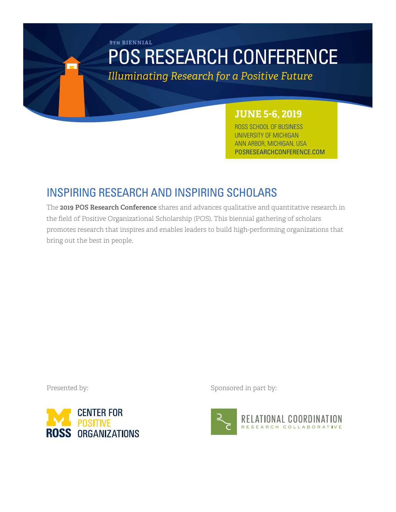# POS RESEARCH CONFERENCE **9th BIENNIAL**

*Illuminating Research for a Positive Future*

# **JUNE 5-6, 2019**

ROSS SCHOOL OF BUSINESS UNIVERSITY OF MICHIGAN ANN ARBOR, MICHIGAN, USA POSRESEARCHCONFERENCE.COM

# INSPIRING RESEARCH AND INSPIRING SCHOLARS

The **2019 POS Research Conference** shares and advances qualitative and quantitative research in the field of Positive Organizational Scholarship (POS). This biennial gathering of scholars promotes research that inspires and enables leaders to build high-performing organizations that bring out the best in people.



Presented by: Sponsored in part by:

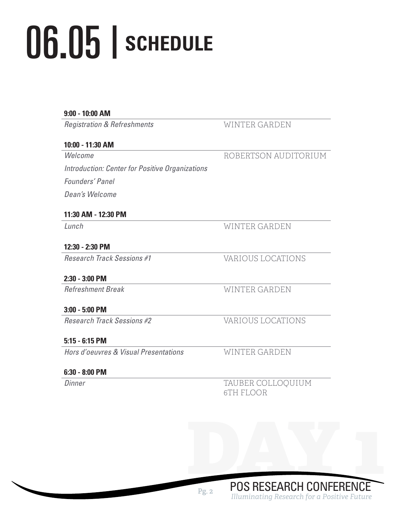# **SCHEDULE** 06.05 |

### **9:00 - 10:00 AM**

*Registration & Refreshments* WINTER GARDEN

### **10:00 - 11:30 AM**

*Welcome*

ROBERTSON AUDITORIUM

*Introduction: Center for Positive Organizations Founders' Panel Dean's Welcome*

# **11:30 AM - 12:30 PM**

*Lunch* WINTER GARDEN

# **12:30 - 2:30 PM**

*Research Track Sessions #1* VARIOUS LOCATIONS

# **2:30 - 3:00 PM**

*Refreshment Break* WINTER GARDEN

# **3:00 - 5:00 PM**

*Research Track Sessions #2* VARIOUS LOCATIONS

# **5:15 - 6:15 PM**

*Hors d'oeuvres & Visual Presentations* WINTER GARDEN

# **6:30 - 8:00 PM**

*Dinner* TAUBER COLLOQUIUM 6TH FLOOR

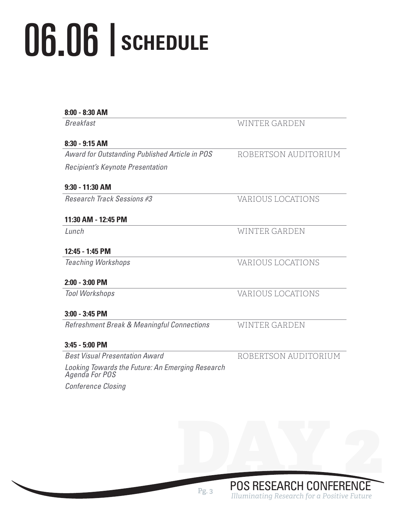# 06.06 | **SCHEDULE**

| <b>Breakfast</b>                                                   | WINTER GARDEN        |
|--------------------------------------------------------------------|----------------------|
| 8:30 - 9:15 AM                                                     |                      |
| Award for Outstanding Published Article in POS                     | ROBERTSON AUDITORIUM |
| Recipient's Keynote Presentation                                   |                      |
| $9:30 - 11:30$ AM                                                  |                      |
| Research Track Sessions #3                                         | VARIOUS LOCATIONS    |
| 11:30 AM - 12:45 PM                                                |                      |
| Lunch                                                              | WINTER GARDEN        |
| 12:45 - 1:45 PM                                                    |                      |
| <b>Teaching Workshops</b>                                          | VARIOUS LOCATIONS    |
| $2:00 - 3:00$ PM                                                   |                      |
| <b>Tool Workshops</b>                                              | VARIOUS LOCATIONS    |
| $3:00 - 3:45$ PM                                                   |                      |
| <b>Refreshment Break &amp; Meaningful Connections</b>              | <b>WINTER GARDEN</b> |
| $3:45 - 5:00$ PM                                                   |                      |
| <b>Best Visual Presentation Award</b>                              | ROBERTSON AUDITORIUM |
| Looking Towards the Future: An Emerging Research<br>Agenda For POS |                      |
| <b>Conference Closing</b>                                          |                      |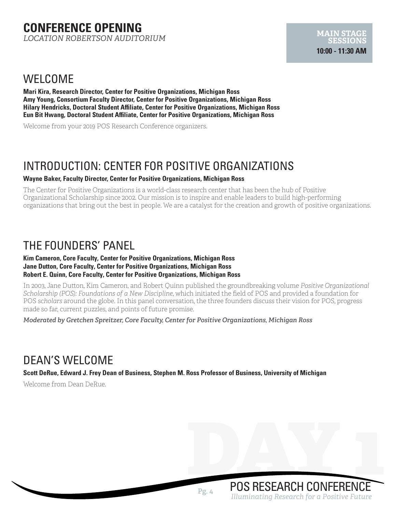# **CONFERENCE OPENING** *LOCATION ROBERTSON AUDITORIUM*

# WELCOME

**Mari Kira, Research Director, Center for Positive Organizations, Michigan Ross Amy Young, Consortium Faculty Director, Center for Positive Organizations, Michigan Ross Hilary Hendricks, Doctoral Student Affiliate, Center for Positive Organizations, Michigan Ross Eun Bit Hwang, Doctoral Student Affiliate, Center for Positive Organizations, Michigan Ross**

Welcome from your 2019 POS Research Conference organizers.

# INTRODUCTION: CENTER FOR POSITIVE ORGANIZATIONS

#### **Wayne Baker, Faculty Director, Center for Positive Organizations, Michigan Ross**

The Center for Positive Organizations is a world-class research center that has been the hub of Positive Organizational Scholarship since 2002. Our mission is to inspire and enable leaders to build high-performing organizations that bring out the best in people. We are a catalyst for the creation and growth of positive organizations.

# THE FOUNDERS' PANEL

#### **Kim Cameron, Core Faculty, Center for Positive Organizations, Michigan Ross Jane Dutton, Core Faculty, Center for Positive Organizations, Michigan Ross Robert E. Quinn, Core Faculty, Center for Positive Organizations, Michigan Ross**

In 2003, Jane Dutton, Kim Cameron, and Robert Quinn published the groundbreaking volume *Positive Organizational Scholarship (POS): Foundations of a New Discipline*, which initiated the field of POS and provided a foundation for POS sc*holars* around the globe. In this panel conversation, the three founders discuss their vision for POS, progress made so far, current puzzles, and points of future promise.

*Moderated by Gretchen Spreitzer, Core Faculty, Center for Positive Organizations, Michigan Ross*

# DEAN'S WELCOME

**Scott DeRue, Edward J. Frey Dean of Business, Stephen M. Ross Professor of Business, University of Michigan**

Welcome from Dean DeRue.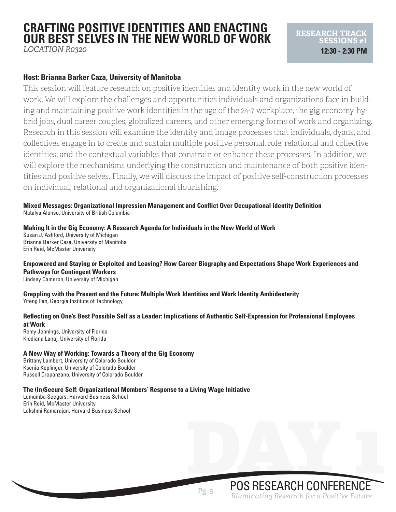# **CRAFTING POSITIVE IDENTITIES AND ENACTING OUR BEST SELVES IN THE NEW WORLD OF WORK**

*LOCATION R0320*

# **Host: Brianna Barker Caza, University of Manitoba**

This session will feature research on positive identities and identity work in the new world of work. We will explore the challenges and opportunities individuals and organizations face in building and maintaining positive work identities in the age of the 24-7 workplace, the gig economy, hybrid jobs, dual career couples, globalized careers, and other emerging forms of work and organizing. Research in this session will examine the identity and image processes that individuals, dyads, and collectives engage in to create and sustain multiple positive personal, role, relational and collective identities, and the contextual variables that constrain or enhance these processes. In addition, we will explore the mechanisms underlying the construction and maintenance of both positive identities and positive selves. Finally, we will discuss the impact of positive self-construction processes on individual, relational and organizational flourishing.

**Mixed Messages: Organizational Impression Management and Conflict Over Occupational Identity Definition** Natalya Alonso, University of British Columbia

**Making It in the Gig Economy: A Research Agenda for Individuals in the New World of Work** Susan J. Ashford, University of Michigan Brianna Barker Caza, University of Manitoba Erin Reid, McMaster University

**Empowered and Staying or Exploited and Leaving? How Career Biography and Expectations Shape Work Experiences and Pathways for Contingent Workers**

Lindsey Cameron, University of Michigan

**Grappling with the Present and the Future: Multiple Work Identities and Work Identity Ambidexterity** Yifeng Fan, Georgia Institute of Technology

#### **Reflecting on One's Best Possible Self as a Leader: Implications of Authentic Self-Expression for Professional Employees at Work**

Remy Jennings, University of Florida Klodiana Lanaj, University of Florida

#### **A New Way of Working: Towards a Theory of the Gig Economy**

Brittany Lambert, University of Colorado Boulder Ksenia Keplinger, University of Colorado Boulder Russell Cropanzano, University of Colorado Boulder

#### **The (In)Secure Self: Organizational Members' Response to a Living Wage Initiative**

Lumumba Seegars, Harvard Business School Erin Reid, McMaster University Lakshmi Ramarajan, Harvard Business School **RESEARCH TRACK** 

**SESSIONS #1 12:30 - 2:30 PM**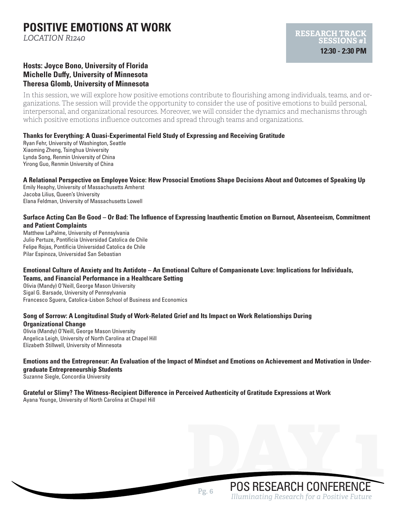# **POSITIVE EMOTIONS AT WORK**

*LOCATION R1240*

# **Hosts: Joyce Bono, University of Florida Michelle Duffy, University of Minnesota Theresa Glomb, University of Minnesota**

In this session, we will explore how positive emotions contribute to flourishing among individuals, teams, and organizations. The session will provide the opportunity to consider the use of positive emotions to build personal, interpersonal, and organizational resources. Moreover, we will consider the dynamics and mechanisms through which positive emotions influence outcomes and spread through teams and organizations.

#### **Thanks for Everything: A Quasi-Experimental Field Study of Expressing and Receiving Gratitude**

Ryan Fehr, University of Washington, Seattle Xiaoming Zheng, Tsinghua University Lynda Song, Renmin University of China Yirong Guo, Renmin University of China

**A Relational Perspective on Employee Voice: How Prosocial Emotions Shape Decisions About and Outcomes of Speaking Up** Emily Heaphy, University of Massachusetts Amherst Jacoba Lilius, Queen's University Elana Feldman, University of Massachusetts Lowell

#### **Surface Acting Can Be Good – Or Bad: The Influence of Expressing Inauthentic Emotion on Burnout, Absenteeism, Commitment and Patient Complaints**

Matthew LaPalme, University of Pennsylvania Julio Pertuze, Pontificia Universidad Catolica de Chile Felipe Rojas, Pontificia Universidad Catolica de Chile Pilar Espinoza, Universidad San Sebastian

#### **Emotional Culture of Anxiety and Its Antidote – An Emotional Culture of Companionate Love: Implications for Individuals, Teams, and Financial Performance in a Healthcare Setting**

Olivia (Mandy) O'Neill, George Mason University Sigal G. Barsade, University of Pennsylvania Francesco Sguera, Catolica-Lisbon School of Business and Economics

#### **Song of Sorrow: A Longitudinal Study of Work-Related Grief and Its Impact on Work Relationships During Organizational Change**

Olivia (Mandy) O'Neill, George Mason University Angelica Leigh, University of North Carolina at Chapel Hill Elizabeth Stillwell, University of Minnesota

### **Emotions and the Entrepreneur: An Evaluation of the Impact of Mindset and Emotions on Achievement and Motivation in Undergraduate Entrepreneurship Students**

Suzanne Siegle, Concordia University

# **Grateful or Slimy? The Witness-Recipient Difference in Perceived Authenticity of Gratitude Expressions at Work**

Ayana Younge, University of North Carolina at Chapel Hill

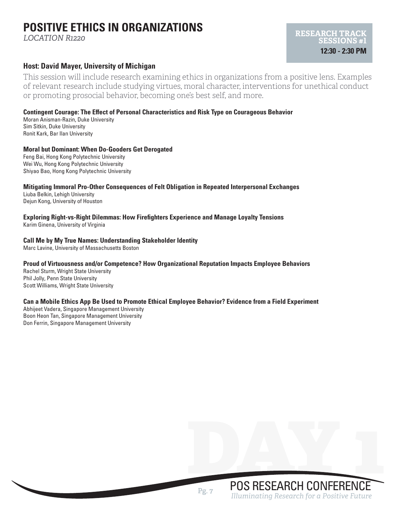# **POSITIVE ETHICS IN ORGANIZATIONS**

*LOCATION R1220*

### **Host: David Mayer, University of Michigan**

This session will include research examining ethics in organizations from a positive lens. Examples of relevant research include studying virtues, moral character, interventions for unethical conduct or promoting prosocial behavior, becoming one's best self, and more.

### **Contingent Courage: The Effect of Personal Characteristics and Risk Type on Courageous Behavior**

Moran Anisman-Razin, Duke University Sim Sitkin, Duke University Ronit Kark, Bar Ilan University

#### **Moral but Dominant: When Do-Gooders Get Derogated**

Feng Bai, Hong Kong Polytechnic University Wei Wu, Hong Kong Polytechnic University Shiyao Bao, Hong Kong Polytechnic University

**Mitigating Immoral Pro-Other Consequences of Felt Obligation in Repeated Interpersonal Exchanges**

Liuba Belkin, Lehigh University Dejun Kong, University of Houston

**Exploring Right-vs-Right Dilemmas: How Firefighters Experience and Manage Loyalty Tensions** Karim Ginena, University of Virginia

#### **Call Me by My True Names: Understanding Stakeholder Identity**

Marc Lavine, University of Massachusetts Boston

#### **Proud of Virtuousness and/or Competence? How Organizational Reputation Impacts Employee Behaviors**

Rachel Sturm, Wright State University Phil Jolly, Penn State University Scott Williams, Wright State University

#### **Can a Mobile Ethics App Be Used to Promote Ethical Employee Behavior? Evidence from a Field Experiment**

Abhijeet Vadera, Singapore Management University Boon Heon Tan, Singapore Management University Don Ferrin, Singapore Management University

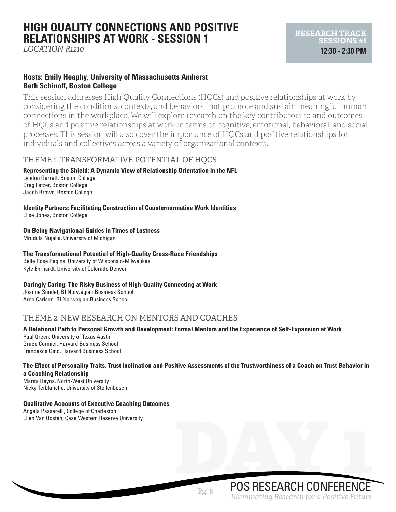# **HIGH QUALITY CONNECTIONS AND POSITIVE RELATIONSHIPS AT WORK - SESSION 1**

*LOCATION R1210*

### **Hosts: Emily Heaphy, University of Massachusetts Amherst Beth Schinoff, Boston College**

This session addresses High Quality Connections (HQCs) and positive relationships at work by considering the conditions, contexts, and behaviors that promote and sustain meaningful human connections in the workplace. We will explore research on the key contributors to and outcomes of HQCs and positive relationships at work in terms of cognitive, emotional, behavioral, and social processes. This session will also cover the importance of HQCs and positive relationships for individuals and collectives across a variety of organizational contexts.

# THEME 1: TRANSFORMATIVE POTENTIAL OF HOCS

# **Representing the Shield: A Dynamic View of Relationship Orientation in the NFL**

Lyndon Garrett, Boston College Greg Fetzer, Boston College Jacob Brown, Boston College

**Identity Partners: Facilitating Construction of Counternormative Work Identities** Elise Jones, Boston College

**On Being Navigational Guides in Times of Lostness**

Mrudula Nujella, University of Michigan

### **The Transformational Potential of High-Quality Cross-Race Friendships**

Belle Rose Ragins, University of Wisconsin-Milwaukee Kyle Ehrhardt, University of Colorado Denver

### **Daringly Caring: The Risky Business of High-Quality Connecting at Work**

Joanne Sundet, BI Norwegian Business School Arne Carlsen, BI Norwegian Business School

# THEME 2: NEW RESEARCH ON MENTORS AND COACHES

### **A Relational Path to Personal Growth and Development: Formal Mentors and the Experience of Self-Expansion at Work** Paul Green, University of Texas Austin

Grace Cormier, Harvard Business School Francesca Gino, Harvard Business School

### **The Effect of Personality Traits, Trust Inclination and Positive Assessments of the Trustworthiness of a Coach on Trust Behavior in a Coaching Relationship**

Marita Heyns, North-West University Nicky Terblanche, University of Stellenbosch

### **Qualitative Accounts of Executive Coaching Outcomes**

Angela Passarelli, College of Charleston Ellen Van Oosten, Case Western Reserve University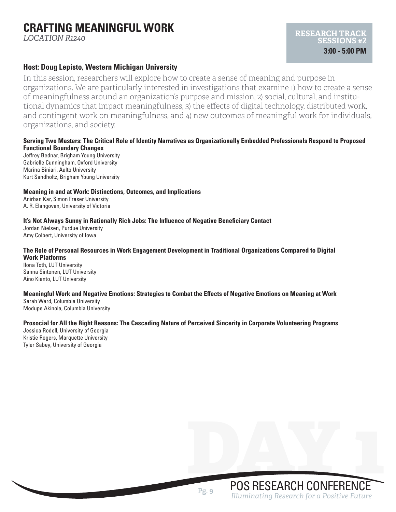# **CRAFTING MEANINGFUL WORK**

*LOCATION R1240*

### **Host: Doug Lepisto, Western Michigan University**

In this session, researchers will explore how to create a sense of meaning and purpose in organizations. We are particularly interested in investigations that examine 1) how to create a sense of meaningfulness around an organization's purpose and mission, 2) social, cultural, and institutional dynamics that impact meaningfulness, 3) the effects of digital technology, distributed work, and contingent work on meaningfulness, and 4) new outcomes of meaningful work for individuals, organizations, and society.

#### **Serving Two Masters: The Critical Role of Identity Narratives as Organizationally Embedded Professionals Respond to Proposed Functional Boundary Changes**

Jeffrey Bednar, Brigham Young University Gabrielle Cunningham, Oxford University Marina Biniari, Aalto University Kurt Sandholtz, Brigham Young University

#### **Meaning in and at Work: Distinctions, Outcomes, and Implications**

Anirban Kar, Simon Fraser University A. R. Elangovan, University of Victoria

#### **It's Not Always Sunny in Rationally Rich Jobs: The Influence of Negative Beneficiary Contact**

Jordan Nielsen, Purdue University Amy Colbert, University of Iowa

#### **The Role of Personal Resources in Work Engagement Development in Traditional Organizations Compared to Digital Work Platforms**

Ilona Toth, LUT University Sanna Sintonen, LUT University Aino Kianto, LUT University

#### **Meaningful Work and Negative Emotions: Strategies to Combat the Effects of Negative Emotions on Meaning at Work**

Sarah Ward, Columbia University Modupe Akinola, Columbia University

#### **Prosocial for All the Right Reasons: The Cascading Nature of Perceived Sincerity in Corporate Volunteering Programs**

Jessica Rodell, University of Georgia Kristie Rogers, Marquette University Tyler Sabey, University of Georgia

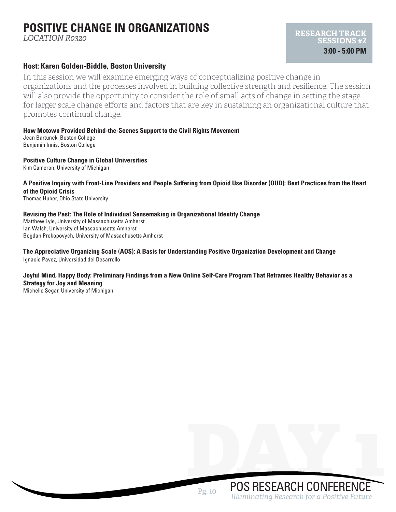# **POSITIVE CHANGE IN ORGANIZATIONS**

*LOCATION R0320*

# **Host: Karen Golden-Biddle, Boston University**

In this session we will examine emerging ways of conceptualizing positive change in organizations and the processes involved in building collective strength and resilience. The session will also provide the opportunity to consider the role of small acts of change in setting the stage for larger scale change efforts and factors that are key in sustaining an organizational culture that promotes continual change.

**How Motown Provided Behind-the-Scenes Support to the Civil Rights Movement** Jean Bartunek, Boston College Benjamin Innis, Boston College

**Positive Culture Change in Global Universities**

Kim Cameron, University of Michigan

### **A Positive Inquiry with Front-Line Providers and People Suffering from Opioid Use Disorder (OUD): Best Practices from the Heart of the Opioid Crisis**

Thomas Huber, Ohio State University

#### **Revising the Past: The Role of Individual Sensemaking in Organizational Identity Change**

Matthew Lyle, University of Massachusetts Amherst Ian Walsh, University of Massachusetts Amherst Bogdan Prokopovych, University of Massachusetts Amherst

#### **The Appreciative Organizing Scale (AOS): A Basis for Understanding Positive Organization Development and Change** Ignacio Pavez, Universidad del Desarrollo

### **Joyful Mind, Happy Body: Preliminary Findings from a New Online Self-Care Program That Reframes Healthy Behavior as a Strategy for Joy and Meaning**

Michelle Segar, University of Michigan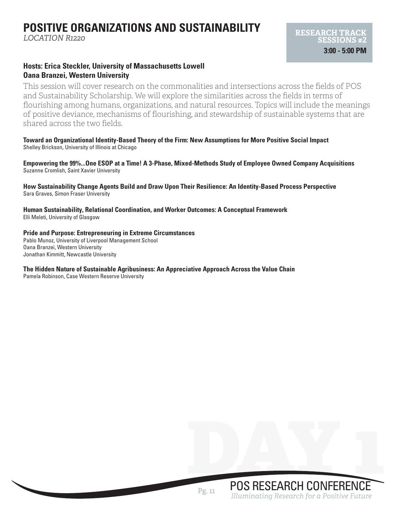# **POSITIVE ORGANIZATIONS AND SUSTAINABILITY**

*LOCATION R1220*

### **Hosts: Erica Steckler, University of Massachusetts Lowell Oana Branzei, Western University**

This session will cover research on the commonalities and intersections across the fields of POS and Sustainability Scholarship. We will explore the similarities across the fields in terms of flourishing among humans, organizations, and natural resources. Topics will include the meanings of positive deviance, mechanisms of flourishing, and stewardship of sustainable systems that are shared across the two fields.

**Toward an Organizational Identity-Based Theory of the Firm: New Assumptions for More Positive Social Impact** Shelley Brickson, University of Illinois at Chicago

**Empowering the 99%...One ESOP at a Time! A 3-Phase, Mixed-Methods Study of Employee Owned Company Acquisitions** Suzanne Cromlish, Saint Xavier University

**How Sustainability Change Agents Build and Draw Upon Their Resilience: An Identity-Based Process Perspective** Sara Graves, Simon Fraser University

**Human Sustainability, Relational Coordination, and Worker Outcomes: A Conceptual Framework** Elli Meleti, University of Glasgow

**Pride and Purpose: Entrepreneuring in Extreme Circumstances** Pablo Munoz, University of Liverpool Management School

Oana Branzei, Western University Jonathan Kimmitt, Newcastle University

#### **The Hidden Nature of Sustainable Agribusiness: An Appreciative Approach Across the Value Chain**

Pamela Robinson, Case Western Reserve University

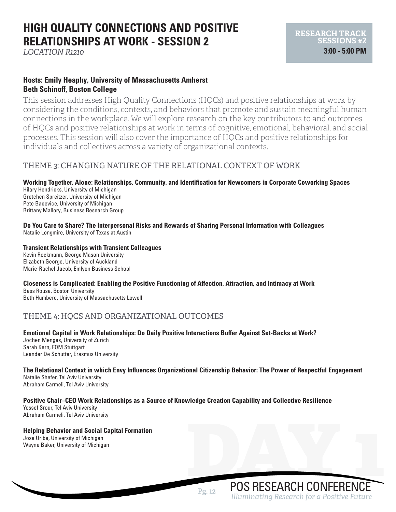# **HIGH QUALITY CONNECTIONS AND POSITIVE RELATIONSHIPS AT WORK - SESSION 2**

*LOCATION R1210*

### **Hosts: Emily Heaphy, University of Massachusetts Amherst Beth Schinoff, Boston College**

This session addresses High Quality Connections (HQCs) and positive relationships at work by considering the conditions, contexts, and behaviors that promote and sustain meaningful human connections in the workplace. We will explore research on the key contributors to and outcomes of HQCs and positive relationships at work in terms of cognitive, emotional, behavioral, and social processes. This session will also cover the importance of HQCs and positive relationships for individuals and collectives across a variety of organizational contexts.

# THEME 3: CHANGING NATURE OF THE RELATIONAL CONTEXT OF WORK

#### **Working Together, Alone: Relationships, Community, and Identification for Newcomers in Corporate Coworking Spaces**

Hilary Hendricks, University of Michigan Gretchen Spreitzer, University of Michigan Pete Bacevice, University of Michigan Brittany Mallory, Business Research Group

**Do You Care to Share? The Interpersonal Risks and Rewards of Sharing Personal Information with Colleagues** Natalie Longmire, University of Texas at Austin

#### **Transient Relationships with Transient Colleagues**

Kevin Rockmann, George Mason University Elizabeth George, University of Auckland Marie-Rachel Jacob, Emlyon Business School

### **Closeness is Complicated: Enabling the Positive Functioning of Affection, Attraction, and Intimacy at Work**

Bess Rouse, Boston University Beth Humberd, University of Massachusetts Lowell

# THEME 4: HQCS AND ORGANIZATIONAL OUTCOMES

**Emotional Capital in Work Relationships: Do Daily Positive Interactions Buffer Against Set-Backs at Work?** Jochen Menges, University of Zurich Sarah Kern, FOM Stuttgart Leander De Schutter, Erasmus University

**The Relational Context in which Envy Influences Organizational Citizenship Behavior: The Power of Respectful Engagement** Natalie Shefer, Tel Aviv University Abraham Carmeli, Tel Aviv University

#### **Positive Chair–CEO Work Relationships as a Source of Knowledge Creation Capability and Collective Resilience**

Yossef Srour, Tel Aviv University Abraham Carmeli, Tel Aviv University

#### **Helping Behavior and Social Capital Formation**

Jose Uribe, University of Michigan Helping Behavior and Social Capital Formation<br>Jose Uribe, University of Michigan<br>Wayne Baker, University of Michigan<br>DOS RESEARCH CONFERENCE

POS RESEARCH CONFERENCE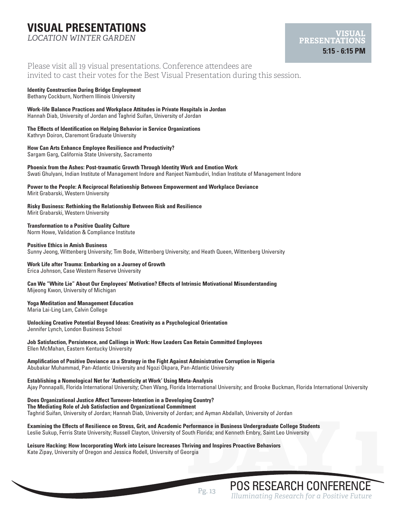# **VISUAL PRESENTATIONS**

*LOCATION WINTER GARDEN*

### Please visit all 19 visual presentations. Conference attendees are invited to cast their votes for the Best Visual Presentation during this session.

#### **Identity Construction During Bridge Employment**

Bethany Cockburn, Northern Illinois University

#### **Work-life Balance Practices and Workplace Attitudes in Private Hospitals in Jordan** Hannah Diab, University of Jordan and Taghrid Suifan, University of Jordan

#### **The Effects of Identification on Helping Behavior in Service Organizations**

Kathryn Doiron, Claremont Graduate University

#### **How Can Arts Enhance Employee Resilience and Productivity?**

Sargam Garg, California State University, Sacramento

#### **Phoenix from the Ashes: Post-traumatic Growth Through Identity Work and Emotion Work** Swati Ghulyani, Indian Institute of Management Indore and Ranjeet Nambudiri, Indian Institute of Management Indore

# **Power to the People: A Reciprocal Relationship Between Empowerment and Workplace Deviance**

Mirit Grabarski, Western University

**Risky Business: Rethinking the Relationship Between Risk and Resilience** Mirit Grabarski, Western University

**Transformation to a Positive Quality Culture**

Norm Howe, Validation & Compliance Institute

#### **Positive Ethics in Amish Business**

Sunny Jeong, Wittenberg University; Tim Bode, Wittenberg University; and Heath Queen, Wittenberg University

#### **Work Life after Trauma: Embarking on a Journey of Growth**

Erica Johnson, Case Western Reserve University

**Can We "White Lie" About Our Employees' Motivation? Effects of Intrinsic Motivational Misunderstanding** Mijeong Kwon, University of Michigan

#### **Yoga Meditation and Management Education**

Maria Lai-Ling Lam, Calvin College

**Unlocking Creative Potential Beyond Ideas: Creativity as a Psychological Orientation** Jennifer Lynch, London Business School

#### **Job Satisfaction, Persistence, and Callings in Work: How Leaders Can Retain Committed Employees** Ellen McMahan, Eastern Kentucky University

#### **Amplification of Positive Deviance as a Strategy in the Fight Against Administrative Corruption in Nigeria** Abubakar Muhammad, Pan-Atlantic University and Ngozi Okpara, Pan-Atlantic University

#### **Establishing a Nomological Net for 'Authenticity at Work' Using Meta-Analysis**

Ajay Ponnapalli, Florida International University; Chen Wang, Florida International University; and Brooke Buckman, Florida International University

**Does Organizational Justice Affect Turnover-Intention in a Developing Country? The Mediating Role of Job Satisfaction and Organizational Commitment** Taghrid Suifan, University of Jordan; Hannah Diab, University of Jordan; and Ayman Abdallah, University of Jordan

POS RESEARCH CONFERENCE **Examining the Effects of Resilience on Stress, Grit, and Academic Performance in Business Undergraduate College Students** Leslie Sukup, Ferris State University; Russell Clayton, University of South Florida; and Kenneth Embry, Saint Leo University

**Leisure Hacking: How Incorporating Work into Leisure Increases Thriving and Inspires Proactive Behaviors** Kate Zipay, University of Oregon and Jessica Rodell, University of Georgia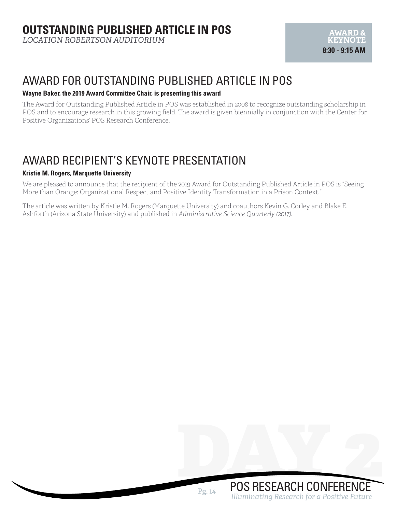*LOCATION ROBERTSON AUDITORIUM* 

# AWARD FOR OUTSTANDING PUBLISHED ARTICLE IN POS

#### **Wayne Baker, the 2019 Award Committee Chair, is presenting this award**

The Award for Outstanding Published Article in POS was established in 2008 to recognize outstanding scholarship in POS and to encourage research in this growing field. The award is given biennially in conjunction with the Center for Positive Organizations' POS Research Conference.

# AWARD RECIPIENT'S KEYNOTE PRESENTATION

#### **Kristie M. Rogers, Marquette University**

We are pleased to announce that the recipient of the 2019 Award for Outstanding Published Article in POS is "Seeing More than Orange: Organizational Respect and Positive Identity Transformation in a Prison Context."

The article was written by Kristie M. Rogers (Marquette University) and coauthors Kevin G. Corley and Blake E. Ashforth (Arizona State University) and published in *Administrative Science Quarterly (2017).*

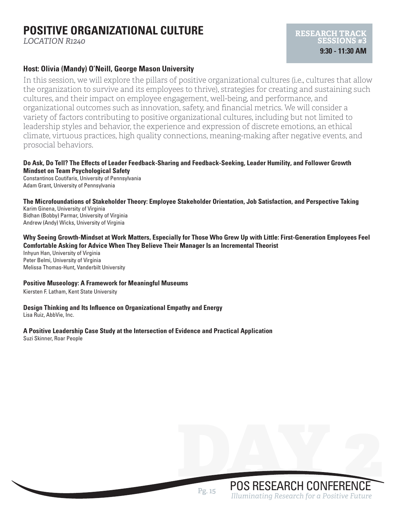# **POSITIVE ORGANIZATIONAL CULTURE**

*LOCATION R1240*

### **Host: Olivia (Mandy) O'Neill, George Mason University**

In this session, we will explore the pillars of positive organizational cultures (i.e., cultures that allow the organization to survive and its employees to thrive), strategies for creating and sustaining such cultures, and their impact on employee engagement, well-being, and performance, and organizational outcomes such as innovation, safety, and financial metrics. We will consider a variety of factors contributing to positive organizational cultures, including but not limited to leadership styles and behavior, the experience and expression of discrete emotions, an ethical climate, virtuous practices, high quality connections, meaning-making after negative events, and prosocial behaviors.

#### **Do Ask, Do Tell? The Effects of Leader Feedback-Sharing and Feedback-Seeking, Leader Humility, and Follower Growth Mindset on Team Psychological Safety**

Constantinos Coutifaris, University of Pennsylvania Adam Grant, University of Pennsylvania

**The Microfoundations of Stakeholder Theory: Employee Stakeholder Orientation, Job Satisfaction, and Perspective Taking** Karim Ginena, University of Virginia

Bidhan (Bobby) Parmar, University of Virginia Andrew (Andy) Wicks, University of Virginia

#### **Why Seeing Growth-Mindset at Work Matters, Especially for Those Who Grew Up with Little: First-Generation Employees Feel Comfortable Asking for Advice When They Believe Their Manager Is an Incremental Theorist**

Inhyun Han, University of Virginia Peter Belmi, University of Virginia Melissa Thomas-Hunt, Vanderbilt University

#### **Positive Museology: A Framework for Meaningful Museums**

Kiersten F. Latham, Kent State University

#### **Design Thinking and Its Influence on Organizational Empathy and Energy**

Lisa Ruiz, AbbVie, Inc.

### **A Positive Leadership Case Study at the Intersection of Evidence and Practical Application**

Suzi Skinner, Roar People

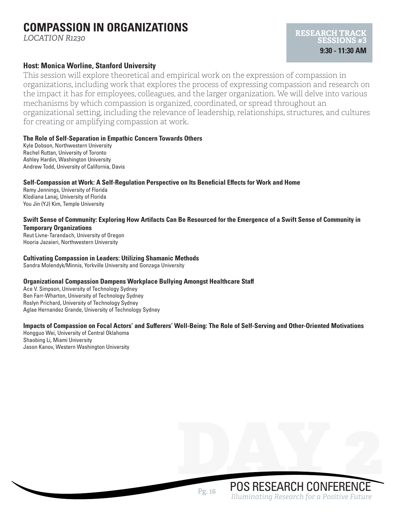# **COMPASSION IN ORGANIZATIONS**

*LOCATION R1230*

### **Host: Monica Worline, Stanford University**

This session will explore theoretical and empirical work on the expression of compassion in organizations, including work that explores the process of expressing compassion and research on the impact it has for employees, colleagues, and the larger organization. We will delve into various mechanisms by which compassion is organized, coordinated, or spread throughout an organizational setting, including the relevance of leadership, relationships, structures, and cultures for creating or amplifying compassion at work.

#### **The Role of Self-Separation in Empathic Concern Towards Others**

Kyle Dobson, Northwestern University Rachel Ruttan, University of Toronto Ashley Hardin, Washington University Andrew Todd, University of California, Davis

#### **Self-Compassion at Work: A Self-Regulation Perspective on Its Beneficial Effects for Work and Home**

Remy Jennings, University of Florida Klodiana Lanaj, University of Florida You Jin (YJ) Kim, Temple University

#### **Swift Sense of Community: Exploring How Artifacts Can Be Resourced for the Emergence of a Swift Sense of Community in Temporary Organizations**

Reut Livne-Tarandach, University of Oregon Hooria Jazaieri, Northwestern University

#### **Cultivating Compassion in Leaders: Utilizing Shamanic Methods**

Sandra Molendyk/Minnis, Yorkville University and Gonzaga University

### **Organizational Compassion Dampens Workplace Bullying Amongst Healthcare Staff**

Ace V. Simpson, University of Technology Sydney Ben Farr-Wharton, University of Technology Sydney Roslyn Prichard, University of Technology Sydney Aglae Hernandez Grande, University of Technology Sydney

### **Impacts of Compassion on Focal Actors' and Sufferers' Well-Being: The Role of Self-Serving and Other-Oriented Motivations**

Hongguo Wei, University of Central Oklahoma Shaobing Li, Miami University Jason Kanov, Western Washington University

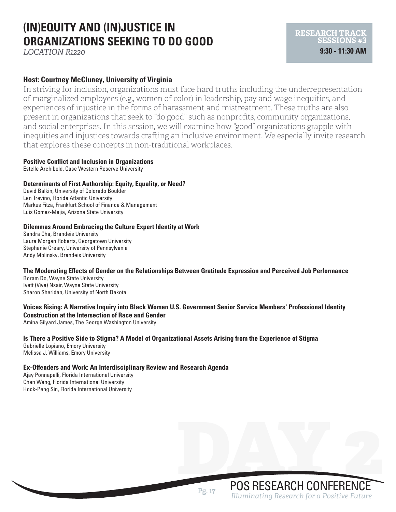# **(IN)EQUITY AND (IN)JUSTICE IN ORGANIZATIONS SEEKING TO DO GOOD**

*LOCATION R1220*

# **Host: Courtney McCluney, University of Virginia**

In striving for inclusion, organizations must face hard truths including the underrepresentation of marginalized employees (e.g., women of color) in leadership, pay and wage inequities, and experiences of injustice in the forms of harassment and mistreatment. These truths are also present in organizations that seek to "do good" such as nonprofits, community organizations, and social enterprises. In this session, we will examine how "good" organizations grapple with inequities and injustices towards crafting an inclusive environment. We especially invite research that explores these concepts in non-traditional workplaces.

**RESEARCH TRACK SESSIONS #3 9:30 - 11:30 AM**

#### **Positive Conflict and Inclusion in Organizations**

Estelle Archibold, Case Western Reserve University

#### **Determinants of First Authorship: Equity, Equality, or Need?**

David Balkin, University of Colorado Boulder Len Trevino, Florida Atlantic University Markus Fitza, Frankfurt School of Finance & Management Luis Gomez-Mejia, Arizona State University

#### **Dilemmas Around Embracing the Culture Expert Identity at Work**

Sandra Cha, Brandeis University Laura Morgan Roberts, Georgetown University Stephanie Creary, University of Pennsylvania Andy Molinsky, Brandeis University

#### **The Moderating Effects of Gender on the Relationships Between Gratitude Expression and Perceived Job Performance**

Boram Do, Wayne State University Ivett (Viva) Nsair, Wayne State University Sharon Sheridan, University of North Dakota

#### **Voices Rising: A Narrative Inquiry into Black Women U.S. Government Senior Service Members' Professional Identity Construction at the Intersection of Race and Gender**

Amina Gilyard James, The George Washington University

#### **Is There a Positive Side to Stigma? A Model of Organizational Assets Arising from the Experience of Stigma** Gabrielle Lopiano, Emory University

Melissa J. Williams, Emory University

# **Ex-Offenders and Work: An Interdisciplinary Review and Research Agenda**

Ajay Ponnapalli, Florida International University Chen Wang, Florida International University Hock-Peng Sin, Florida International University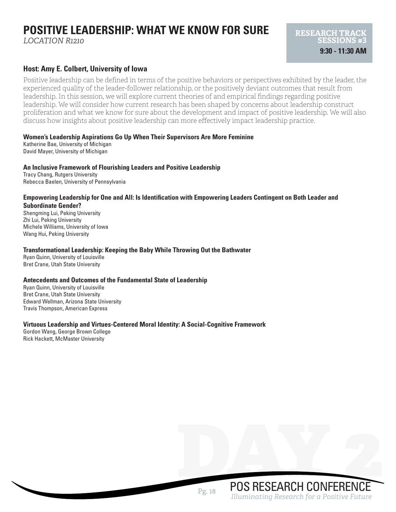# **POSITIVE LEADERSHIP: WHAT WE KNOW FOR SURE**

*LOCATION R1210*

### **Host: Amy E. Colbert, University of Iowa**

Positive leadership can be defined in terms of the positive behaviors or perspectives exhibited by the leader, the experienced quality of the leader-follower relationship, or the positively deviant outcomes that result from leadership. In this session, we will explore current theories of and empirical findings regarding positive leadership. We will consider how current research has been shaped by concerns about leadership construct proliferation and what we know for sure about the development and impact of positive leadership. We will also discuss how insights about positive leadership can more effectively impact leadership practice.

#### **Women's Leadership Aspirations Go Up When Their Supervisors Are More Feminine**

Katherine Bae, University of Michigan David Mayer, University of Michigan

#### **An Inclusive Framework of Flourishing Leaders and Positive Leadership**

Tracy Chang, Rutgers University Rebecca Baelen, University of Pennsylvania

#### **Empowering Leadership for One and All: Is Identification with Empowering Leaders Contingent on Both Leader and Subordinate Gender?**

Shengming Lui, Peking University Zhi Lui, Peking University Michele Williams, University of Iowa Wang Hui, Peking University

#### **Transformational Leadership: Keeping the Baby While Throwing Out the Bathwater**

Ryan Quinn, University of Louisville Bret Crane, Utah State University

#### **Antecedents and Outcomes of the Fundamental State of Leadership**

Ryan Quinn, University of Louisville Bret Crane, Utah State University Edward Wellman, Arizona State University Travis Thompson, American Express

#### **Virtuous Leadership and Virtues-Centered Moral Identity: A Social-Cognitive Framework**

Gordon Wang, George Brown College Rick Hackett, McMaster University

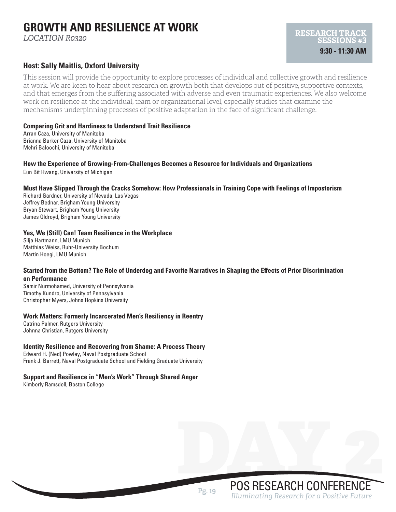# **GROWTH AND RESILIENCE AT WORK**

*LOCATION R0320*

### **Host: Sally Maitlis, Oxford University**

This session will provide the opportunity to explore processes of individual and collective growth and resilience at work. We are keen to hear about research on growth both that develops out of positive, supportive contexts, and that emerges from the suffering associated with adverse and even traumatic experiences. We also welcome work on resilience at the individual, team or organizational level, especially studies that examine the mechanisms underpinning processes of positive adaptation in the face of significant challenge.

#### **Comparing Grit and Hardiness to Understand Trait Resilience**

Arran Caza, University of Manitoba Brianna Barker Caza, University of Manitoba Mehri Baloochi, University of Manitoba

**How the Experience of Growing-From-Challenges Becomes a Resource for Individuals and Organizations** Eun Bit Hwang, University of Michigan

#### **Must Have Slipped Through the Cracks Somehow: How Professionals in Training Cope with Feelings of Impostorism**

Richard Gardner, University of Nevada, Las Vegas Jeffrey Bednar, Brigham Young University Bryan Stewart, Brigham Young University James Oldroyd, Brigham Young University

#### **Yes, We (Still) Can! Team Resilience in the Workplace**

Silja Hartmann, LMU Munich Matthias Weiss, Ruhr-University Bochum Martin Hoegi, LMU Munich

#### **Started from the Bottom? The Role of Underdog and Favorite Narratives in Shaping the Effects of Prior Discrimination on Performance**

Samir Nurmohamed, University of Pennsylvania Timothy Kundro, University of Pennsylvania Christopher Myers, Johns Hopkins University

#### **Work Matters: Formerly Incarcerated Men's Resiliency in Reentry**

Catrina Palmer, Rutgers University Johnna Christian, Rutgers University

#### **Identity Resilience and Recovering from Shame: A Process Theory**

Edward H. (Ned) Powley, Naval Postgraduate School Frank J. Barrett, Naval Postgraduate School and Fielding Graduate University

#### **Support and Resilience in "Men's Work" Through Shared Anger**

Kimberly Ramsdell, Boston College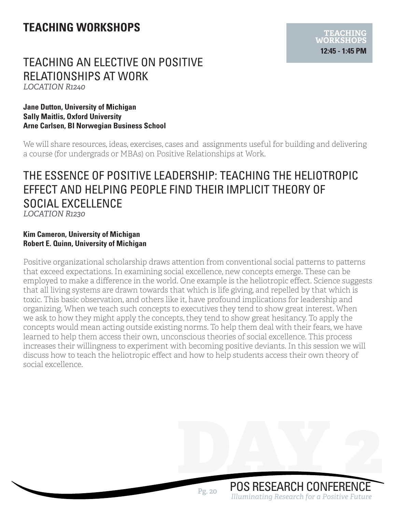# **TEACHING WORKSHOPS**

# TEACHING AN ELECTIVE ON POSITIVE RELATIONSHIPS AT WORK *LOCATION R1240*

### **Jane Dutton, University of Michigan Sally Maitlis, Oxford University Arne Carlsen, BI Norwegian Business School**

We will share resources, ideas, exercises, cases and assignments useful for building and delivering a course (for undergrads or MBAs) on Positive Relationships at Work.

# THE ESSENCE OF POSITIVE LEADERSHIP: TEACHING THE HELIOTROPIC EFFECT AND HELPING PEOPLE FIND THEIR IMPLICIT THEORY OF SOCIAL EXCELLENCE *LOCATION R1230*

### **Kim Cameron, University of Michigan Robert E. Quinn, University of Michigan**

Positive organizational scholarship draws attention from conventional social patterns to patterns that exceed expectations. In examining social excellence, new concepts emerge. These can be employed to make a difference in the world. One example is the heliotropic effect. Science suggests that all living systems are drawn towards that which is life giving, and repelled by that which is toxic. This basic observation, and others like it, have profound implications for leadership and organizing. When we teach such concepts to executives they tend to show great interest. When we ask to how they might apply the concepts, they tend to show great hesitancy. To apply the concepts would mean acting outside existing norms. To help them deal with their fears, we have learned to help them access their own, unconscious theories of social excellence. This process increases their willingness to experiment with becoming positive deviants. In this session we will discuss how to teach the heliotropic effect and how to help students access their own theory of social excellence.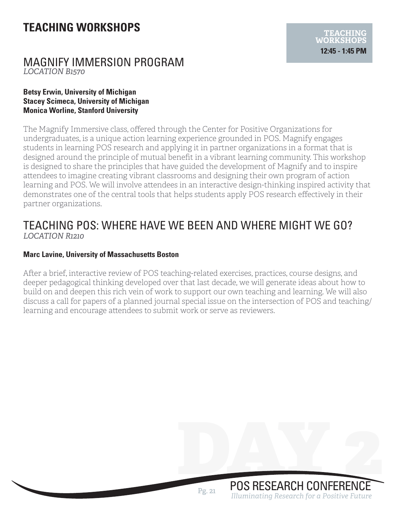# **TEACHING WORKSHOPS**

# MAGNIFY IMMERSION PROGRAM *LOCATION B1570*

### **Betsy Erwin, University of Michigan Stacey Scimeca, University of Michigan Monica Worline, Stanford University**

The Magnify Immersive class, offered through the Center for Positive Organizations for undergraduates, is a unique action learning experience grounded in POS. Magnify engages students in learning POS research and applying it in partner organizations in a format that is designed around the principle of mutual benefit in a vibrant learning community. This workshop is designed to share the principles that have guided the development of Magnify and to inspire attendees to imagine creating vibrant classrooms and designing their own program of action learning and POS. We will involve attendees in an interactive design-thinking inspired activity that demonstrates one of the central tools that helps students apply POS research effectively in their partner organizations.

# TEACHING POS: WHERE HAVE WE BEEN AND WHERE MIGHT WE GO? *LOCATION R1210*

# **Marc Lavine, University of Massachusetts Boston**

After a brief, interactive review of POS teaching-related exercises, practices, course designs, and deeper pedagogical thinking developed over that last decade, we will generate ideas about how to build on and deepen this rich vein of work to support our own teaching and learning. We will also discuss a call for papers of a planned journal special issue on the intersection of POS and teaching/ learning and encourage attendees to submit work or serve as reviewers.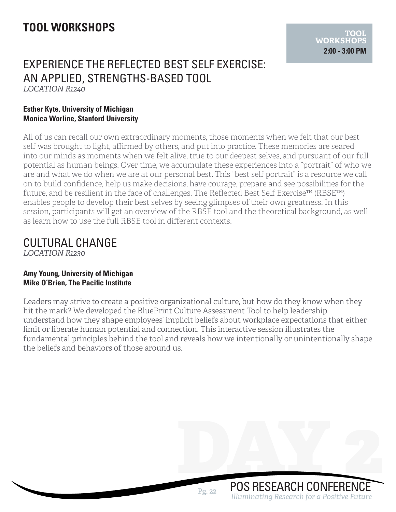# **TOOL WORKSHOPS**

# EXPERIENCE THE REFLECTED BEST SELF EXERCISE: AN APPLIED, STRENGTHS-BASED TOOL *LOCATION R1240*

### **Esther Kyte, University of Michigan Monica Worline, Stanford University**

All of us can recall our own extraordinary moments, those moments when we felt that our best self was brought to light, affirmed by others, and put into practice. These memories are seared into our minds as moments when we felt alive, true to our deepest selves, and pursuant of our full potential as human beings. Over time, we accumulate these experiences into a "portrait" of who we are and what we do when we are at our personal best. This "best self portrait" is a resource we call on to build confidence, help us make decisions, have courage, prepare and see possibilities for the future, and be resilient in the face of challenges. The Reflected Best Self Exercise™ (RBSE™) enables people to develop their best selves by seeing glimpses of their own greatness. In this session, participants will get an overview of the RBSE tool and the theoretical background, as well as learn how to use the full RBSE tool in different contexts.

# CULTURAL CHANGE

*LOCATION R1230*

### **Amy Young, University of Michigan Mike O'Brien, The Pacific Institute**

Leaders may strive to create a positive organizational culture, but how do they know when they hit the mark? We developed the BluePrint Culture Assessment Tool to help leadership understand how they shape employees' implicit beliefs about workplace expectations that either limit or liberate human potential and connection. This interactive session illustrates the fundamental principles behind the tool and reveals how we intentionally or unintentionally shape the beliefs and behaviors of those around us.

POS RESEARCH CONFERENCE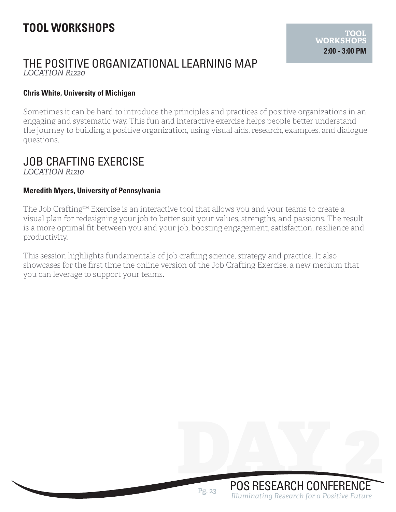# THE POSITIVE ORGANIZATIONAL LEARNING MAP *LOCATION R1220*

### **Chris White, University of Michigan**

Sometimes it can be hard to introduce the principles and practices of positive organizations in an engaging and systematic way. This fun and interactive exercise helps people better understand the journey to building a positive organization, using visual aids, research, examples, and dialogue questions.

# JOB CRAFTING EXERCISE *LOCATION R1210*

### **Meredith Myers, University of Pennsylvania**

The Job Crafting™ Exercise is an interactive tool that allows you and your teams to create a visual plan for redesigning your job to better suit your values, strengths, and passions. The result is a more optimal fit between you and your job, boosting engagement, satisfaction, resilience and productivity.

This session highlights fundamentals of job crafting science, strategy and practice. It also showcases for the first time the online version of the Job Crafting Exercise, a new medium that you can leverage to support your teams.